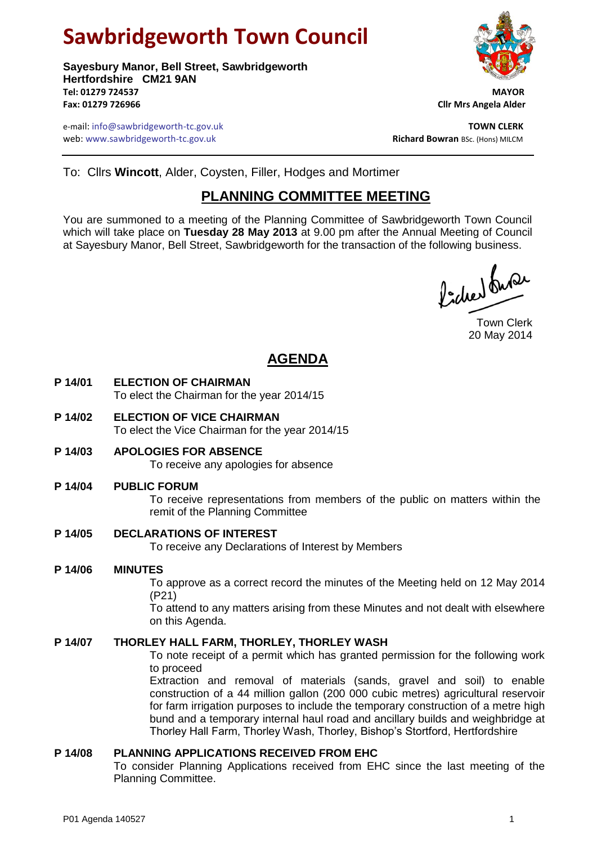# **Sawbridgeworth Town Council**

**Sayesbury Manor, Bell Street, Sawbridgeworth Hertfordshire CM21 9AN Tel: 01279 724537 MAYOR Fax: 01279 726966 Cllr Mrs Angela Alder**

e-mail: info@sawbridgeworth-tc.gov.uk **TOWN CLERK** web: www.sawbridgeworth-tc.gov.uk<br> **Richard Bowran** BSc. (Hons) MILCM



To: Cllrs **Wincott**, Alder, Coysten, Filler, Hodges and Mortimer

### **PLANNING COMMITTEE MEETING**

You are summoned to a meeting of the Planning Committee of Sawbridgeworth Town Council which will take place on **Tuesday 28 May 2013** at 9.00 pm after the Annual Meeting of Council at Sayesbury Manor, Bell Street, Sawbridgeworth for the transaction of the following business.

Picked Super

Town Clerk 20 May 2014

## **AGENDA**

- **P 14/01 ELECTION OF CHAIRMAN** To elect the Chairman for the year 2014/15
- **P 14/02 ELECTION OF VICE CHAIRMAN** To elect the Vice Chairman for the year 2014/15
- **P 14/03 APOLOGIES FOR ABSENCE** To receive any apologies for absence

#### **P 14/04 PUBLIC FORUM**

To receive representations from members of the public on matters within the remit of the Planning Committee

#### **P 14/05 DECLARATIONS OF INTEREST**

To receive any Declarations of Interest by Members

#### **P 14/06 MINUTES**

To approve as a correct record the minutes of the Meeting held on 12 May 2014 (P21)

To attend to any matters arising from these Minutes and not dealt with elsewhere on this Agenda.

#### **P 14/07 THORLEY HALL FARM, THORLEY, THORLEY WASH**

To note receipt of a permit which has granted permission for the following work to proceed

Extraction and removal of materials (sands, gravel and soil) to enable construction of a 44 million gallon (200 000 cubic metres) agricultural reservoir for farm irrigation purposes to include the temporary construction of a metre high bund and a temporary internal haul road and ancillary builds and weighbridge at Thorley Hall Farm, Thorley Wash, Thorley, Bishop's Stortford, Hertfordshire

#### **P 14/08 PLANNING APPLICATIONS RECEIVED FROM EHC**

To consider Planning Applications received from EHC since the last meeting of the Planning Committee.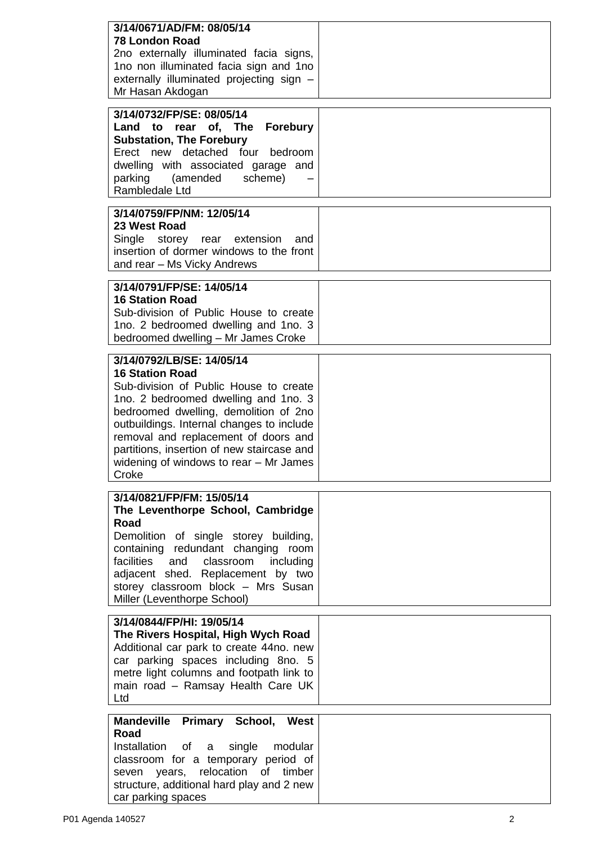| 3/14/0671/AD/FM: 08/05/14<br><b>78 London Road</b><br>2no externally illuminated facia signs,<br>1no non illuminated facia sign and 1no<br>externally illuminated projecting sign -<br>Mr Hasan Akdogan                                                                                                                                                              |  |
|----------------------------------------------------------------------------------------------------------------------------------------------------------------------------------------------------------------------------------------------------------------------------------------------------------------------------------------------------------------------|--|
| 3/14/0732/FP/SE: 08/05/14<br>Land to rear of, The Forebury<br><b>Substation, The Forebury</b><br>Erect new detached four bedroom<br>dwelling with associated garage and<br>parking (amended scheme)<br>Rambledale Ltd                                                                                                                                                |  |
| 3/14/0759/FP/NM: 12/05/14<br>23 West Road<br>Single<br>storey rear extension<br>and<br>insertion of dormer windows to the front<br>and rear - Ms Vicky Andrews                                                                                                                                                                                                       |  |
| 3/14/0791/FP/SE: 14/05/14<br><b>16 Station Road</b><br>Sub-division of Public House to create<br>1no. 2 bedroomed dwelling and 1no. 3<br>bedroomed dwelling - Mr James Croke                                                                                                                                                                                         |  |
| 3/14/0792/LB/SE: 14/05/14<br><b>16 Station Road</b><br>Sub-division of Public House to create<br>1no. 2 bedroomed dwelling and 1no. 3<br>bedroomed dwelling, demolition of 2no<br>outbuildings. Internal changes to include<br>removal and replacement of doors and<br>partitions, insertion of new staircase and<br>widening of windows to rear - Mr James<br>Croke |  |
| 3/14/0821/FP/FM: 15/05/14<br>The Leventhorpe School, Cambridge<br>Road<br>Demolition of single storey building,<br>containing redundant changing room<br>facilities and classroom<br>including<br>adjacent shed. Replacement by two<br>storey classroom block - Mrs Susan<br>Miller (Leventhorpe School)                                                             |  |
| 3/14/0844/FP/HI: 19/05/14<br>The Rivers Hospital, High Wych Road<br>Additional car park to create 44no. new<br>car parking spaces including 8no. 5<br>metre light columns and footpath link to<br>main road - Ramsay Health Care UK<br>Ltd                                                                                                                           |  |
| Mandeville Primary School, West<br>Road<br>Installation<br>of<br>single<br>modular<br>a<br>classroom for a temporary period of<br>seven years, relocation of timber<br>structure, additional hard play and 2 new<br>car parking spaces                                                                                                                               |  |